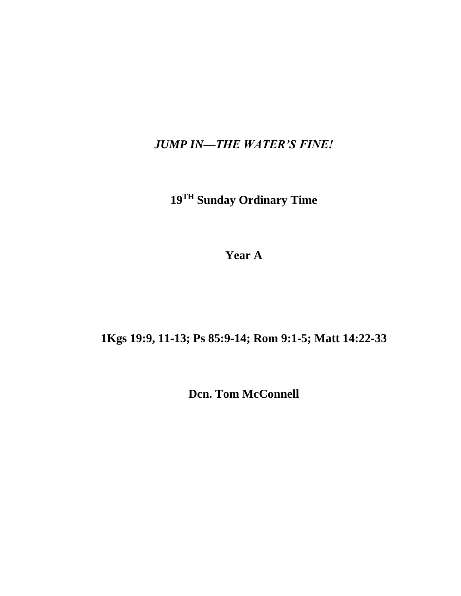*JUMP IN—THE WATER'S FINE!*

**19 TH Sunday Ordinary Time**

**Year A**

**1Kgs 19:9, 11-13; Ps 85:9-14; Rom 9:1-5; Matt 14:22-33**

**Dcn. Tom McConnell**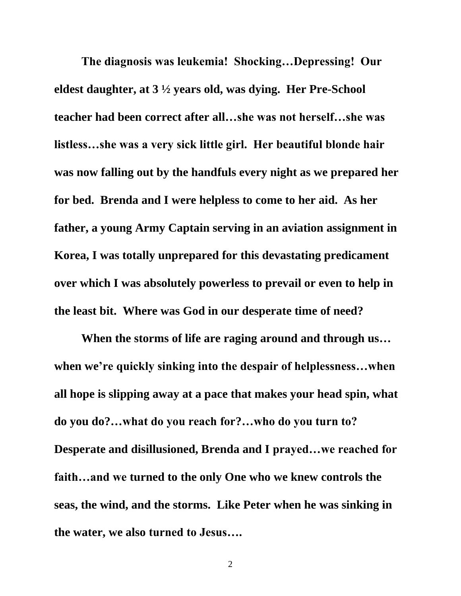**The diagnosis was leukemia! Shocking…Depressing! Our eldest daughter, at 3 ½ years old, was dying. Her Pre-School teacher had been correct after all…she was not herself…she was listless…she was a very sick little girl. Her beautiful blonde hair was now falling out by the handfuls every night as we prepared her for bed. Brenda and I were helpless to come to her aid. As her father, a young Army Captain serving in an aviation assignment in Korea, I was totally unprepared for this devastating predicament over which I was absolutely powerless to prevail or even to help in the least bit. Where was God in our desperate time of need?**

**When the storms of life are raging around and through us… when we're quickly sinking into the despair of helplessness…when all hope is slipping away at a pace that makes your head spin, what do you do?…what do you reach for?…who do you turn to? Desperate and disillusioned, Brenda and I prayed…we reached for faith…and we turned to the only One who we knew controls the seas, the wind, and the storms. Like Peter when he was sinking in the water, we also turned to Jesus….**

2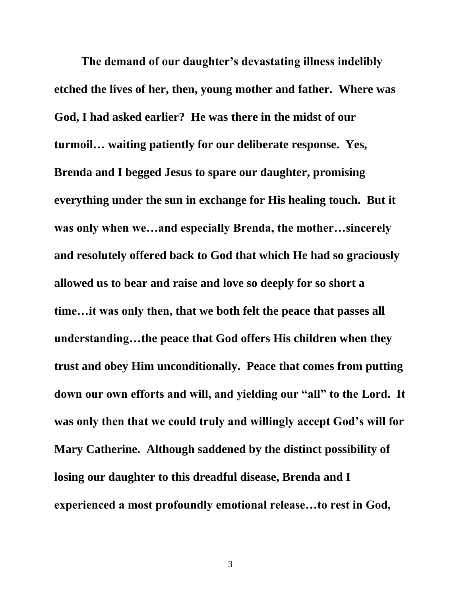**The demand of our daughter's devastating illness indelibly etched the lives of her, then, young mother and father. Where was God, I had asked earlier? He was there in the midst of our turmoil… waiting patiently for our deliberate response. Yes, Brenda and I begged Jesus to spare our daughter, promising everything under the sun in exchange for His healing touch. But it was only when we…and especially Brenda, the mother…sincerely and resolutely offered back to God that which He had so graciously allowed us to bear and raise and love so deeply for so short a time…it was only then, that we both felt the peace that passes all understanding…the peace that God offers His children when they trust and obey Him unconditionally. Peace that comes from putting down our own efforts and will, and yielding our "all" to the Lord. It was only then that we could truly and willingly accept God's will for Mary Catherine. Although saddened by the distinct possibility of losing our daughter to this dreadful disease, Brenda and I experienced a most profoundly emotional release…to rest in God,**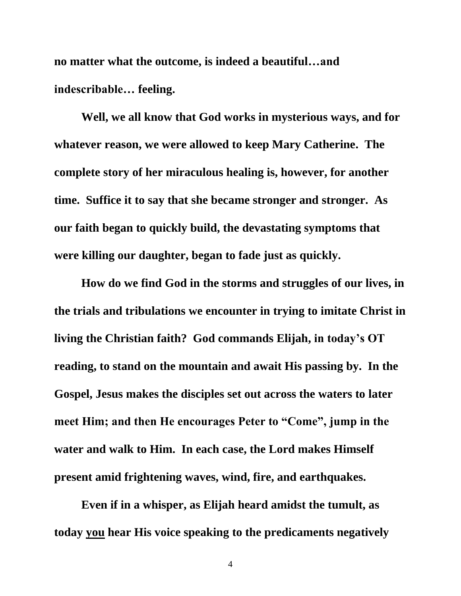**no matter what the outcome, is indeed a beautiful…and indescribable… feeling.** 

**Well, we all know that God works in mysterious ways, and for whatever reason, we were allowed to keep Mary Catherine. The complete story of her miraculous healing is, however, for another time. Suffice it to say that she became stronger and stronger. As our faith began to quickly build, the devastating symptoms that were killing our daughter, began to fade just as quickly.**

**How do we find God in the storms and struggles of our lives, in the trials and tribulations we encounter in trying to imitate Christ in living the Christian faith? God commands Elijah, in today's OT reading, to stand on the mountain and await His passing by. In the Gospel, Jesus makes the disciples set out across the waters to later meet Him; and then He encourages Peter to "Come", jump in the water and walk to Him. In each case, the Lord makes Himself present amid frightening waves, wind, fire, and earthquakes.** 

**Even if in a whisper, as Elijah heard amidst the tumult, as today you hear His voice speaking to the predicaments negatively** 

4